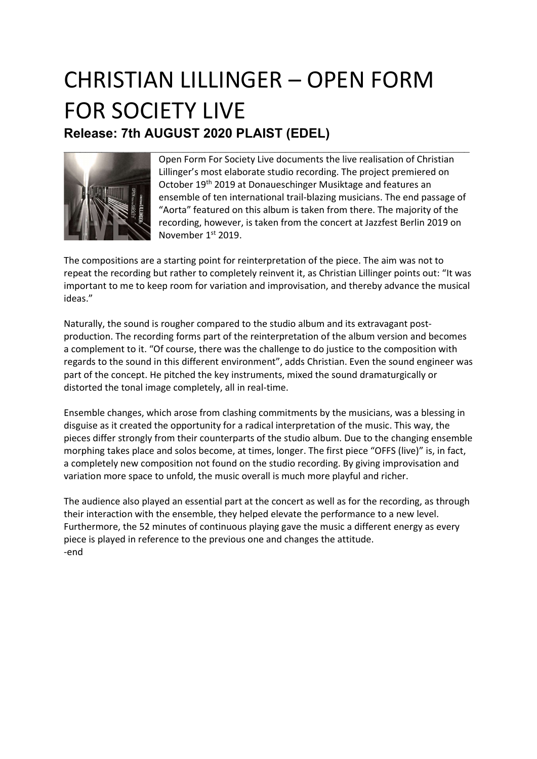## CHRISTIAN LILLINGER – OPEN FORM FOR SOCIETY LIVE Release: 7th AUGUST 2020 PLAIST (EDEL)



Open Form For Society Live documents the live realisation of Christian Lillinger's most elaborate studio recording. The project premiered on October 19<sup>th</sup> 2019 at Donaueschinger Musiktage and features an ensemble of ten international trail-blazing musicians. The end passage of "Aorta" featured on this album is taken from there. The majority of the recording, however, is taken from the concert at Jazzfest Berlin 2019 on November 1<sup>st</sup> 2019.

The compositions are a starting point for reinterpretation of the piece. The aim was not to repeat the recording but rather to completely reinvent it, as Christian Lillinger points out: "It was important to me to keep room for variation and improvisation, and thereby advance the musical ideas."

Naturally, the sound is rougher compared to the studio album and its extravagant postproduction. The recording forms part of the reinterpretation of the album version and becomes a complement to it. "Of course, there was the challenge to do justice to the composition with regards to the sound in this different environment", adds Christian. Even the sound engineer was part of the concept. He pitched the key instruments, mixed the sound dramaturgically or distorted the tonal image completely, all in real-time.

Ensemble changes, which arose from clashing commitments by the musicians, was a blessing in disguise as it created the opportunity for a radical interpretation of the music. This way, the pieces differ strongly from their counterparts of the studio album. Due to the changing ensemble morphing takes place and solos become, at times, longer. The first piece "OFFS (live)" is, in fact, a completely new composition not found on the studio recording. By giving improvisation and variation more space to unfold, the music overall is much more playful and richer.

The audience also played an essential part at the concert as well as for the recording, as through their interaction with the ensemble, they helped elevate the performance to a new level. Furthermore, the 52 minutes of continuous playing gave the music a different energy as every piece is played in reference to the previous one and changes the attitude. -end